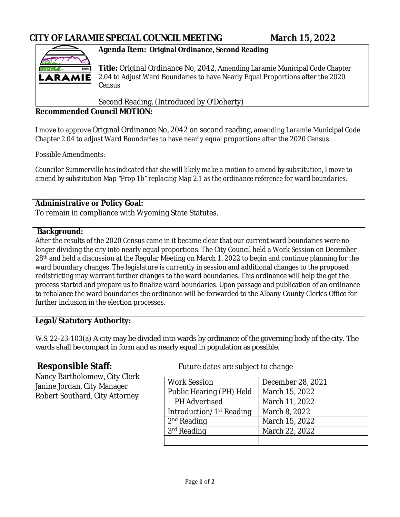

## **Agenda Item: Original Ordinance, Second Reading**

**Title:** Original Ordinance No, 2042, Amending Laramie Municipal Code Chapter 2.04 to Adjust Ward Boundaries to have Nearly Equal Proportions after the 2020 Census

Second Reading. (Introduced by O'Doherty)

### **Recommended Council MOTION:**

I move to approve Original Ordinance No, 2042 on second reading, amending Laramie Municipal Code Chapter 2.04 to adjust Ward Boundaries to have nearly equal proportions after the 2020 Census.

Possible Amendments:

*Councilor Summerville has indicated that she will likely make a motion to amend by substitution, I move to amend by substitution Map "Prop 1b" replacing Map 2.1 as the ordinance reference for ward boundaries.*

## **Administrative or Policy Goal:**

To remain in compliance with Wyoming State Statutes.

#### **Background:**

After the results of the 2020 Census came in it became clear that our current ward boundaries were no longer dividing the city into nearly equal proportions. The City Council held a Work Session on December 28th and held a discussion at the Regular Meeting on March 1, 2022 to begin and continue planning for the ward boundary changes. The legislature is currently in session and additional changes to the proposed redistricting may warrant further changes to the ward boundaries. This ordinance will help the get the process started and prepare us to finalize ward boundaries. Upon passage and publication of an ordinance to rebalance the ward boundaries the ordinance will be forwarded to the Albany County Clerk's Office for further inclusion in the election processes.

# **Legal/Statutory Authority:**

W.S. 22-23-103(a) A city may be divided into wards by ordinance of the governing body of the city. The wards shall be compact in form and as nearly equal in population as possible.

Nancy Bartholomew, City Clerk Janine Jordan, City Manager Robert Southard, City Attorney

**Responsible Staff:** Future dates are subject to change

| <b>Work Session</b>                  | December 28, 2021 |
|--------------------------------------|-------------------|
| Public Hearing (PH) Held             | March 15, 2022    |
| <b>PH</b> Advertised                 | March 11, 2022    |
| Introduction/1 <sup>st</sup> Reading | March 8, 2022     |
| $2nd$ Reading                        | March 15, 2022    |
| $3rd$ Reading                        | March 22, 2022    |
|                                      |                   |